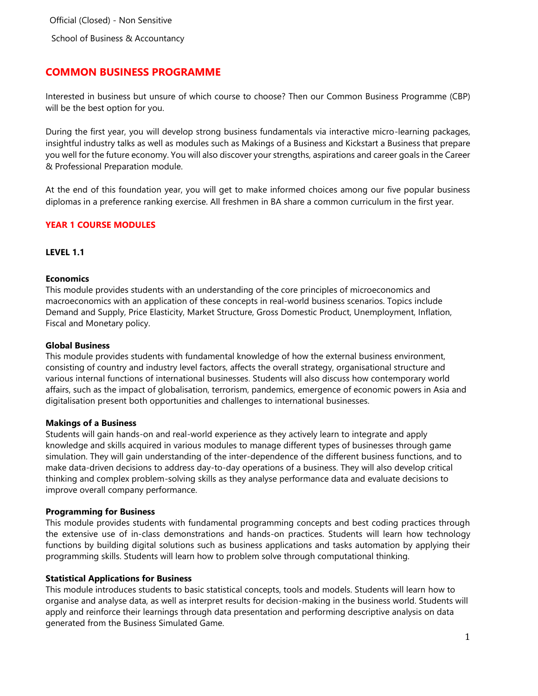# **COMMON BUSINESS PROGRAMME**

Interested in business but unsure of which course to choose? Then our Common Business Programme (CBP) will be the best option for you.

During the first year, you will develop strong business fundamentals via interactive micro-learning packages, insightful industry talks as well as modules such as Makings of a Business and Kickstart a Business that prepare you well for the future economy. You will also discover your strengths, aspirations and career goals in the Career & Professional Preparation module.

At the end of this foundation year, you will get to make informed choices among our five popular business diplomas in a preference ranking exercise. All freshmen in BA share a common curriculum in the first year.

# **YEAR 1 COURSE MODULES**

## **LEVEL 1.1**

#### **Economics**

This module provides students with an understanding of the core principles of microeconomics and macroeconomics with an application of these concepts in real-world business scenarios. Topics include Demand and Supply, Price Elasticity, Market Structure, Gross Domestic Product, Unemployment, Inflation, Fiscal and Monetary policy.

#### **Global Business**

This module provides students with fundamental knowledge of how the external business environment, consisting of country and industry level factors, affects the overall strategy, organisational structure and various internal functions of international businesses. Students will also discuss how contemporary world affairs, such as the impact of globalisation, terrorism, pandemics, emergence of economic powers in Asia and digitalisation present both opportunities and challenges to international businesses.

#### **Makings of a Business**

Students will gain hands-on and real-world experience as they actively learn to integrate and apply knowledge and skills acquired in various modules to manage different types of businesses through game simulation. They will gain understanding of the inter-dependence of the different business functions, and to make data-driven decisions to address day-to-day operations of a business. They will also develop critical thinking and complex problem-solving skills as they analyse performance data and evaluate decisions to improve overall company performance.

#### **Programming for Business**

This module provides students with fundamental programming concepts and best coding practices through the extensive use of in-class demonstrations and hands-on practices. Students will learn how technology functions by building digital solutions such as business applications and tasks automation by applying their programming skills. Students will learn how to problem solve through computational thinking.

# **Statistical Applications for Business**

This module introduces students to basic statistical concepts, tools and models. Students will learn how to organise and analyse data, as well as interpret results for decision-making in the business world. Students will apply and reinforce their learnings through data presentation and performing descriptive analysis on data generated from the Business Simulated Game.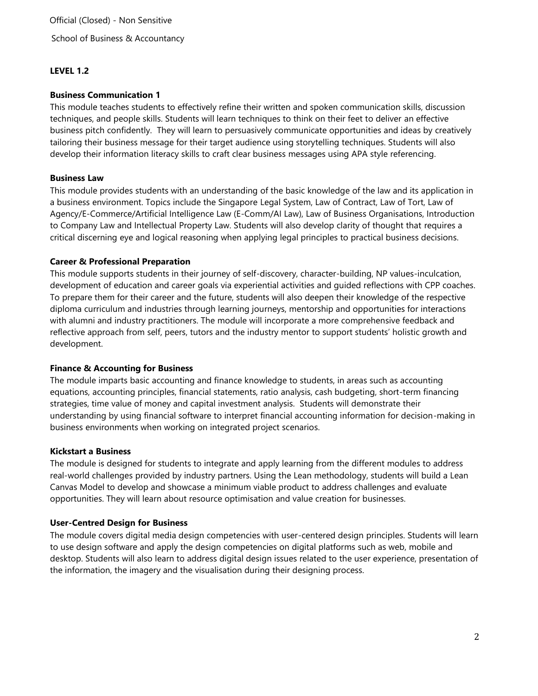Official (Closed) - Non Sensitive School of Business & Accountancy

# **LEVEL 1.2**

## **Business Communication 1**

This module teaches students to effectively refine their written and spoken communication skills, discussion techniques, and people skills. Students will learn techniques to think on their feet to deliver an effective business pitch confidently. They will learn to persuasively communicate opportunities and ideas by creatively tailoring their business message for their target audience using storytelling techniques. Students will also develop their information literacy skills to craft clear business messages using APA style referencing.

### **Business Law**

This module provides students with an understanding of the basic knowledge of the law and its application in a business environment. Topics include the Singapore Legal System, Law of Contract, Law of Tort, Law of Agency/E-Commerce/Artificial Intelligence Law (E-Comm/AI Law), Law of Business Organisations, Introduction to Company Law and Intellectual Property Law. Students will also develop clarity of thought that requires a critical discerning eye and logical reasoning when applying legal principles to practical business decisions.

### **Career & Professional Preparation**

This module supports students in their journey of self-discovery, character-building, NP values-inculcation, development of education and career goals via experiential activities and guided reflections with CPP coaches. To prepare them for their career and the future, students will also deepen their knowledge of the respective diploma curriculum and industries through learning journeys, mentorship and opportunities for interactions with alumni and industry practitioners. The module will incorporate a more comprehensive feedback and reflective approach from self, peers, tutors and the industry mentor to support students' holistic growth and development.

# **Finance & Accounting for Business**

The module imparts basic accounting and finance knowledge to students, in areas such as accounting equations, accounting principles, financial statements, ratio analysis, cash budgeting, short-term financing strategies, time value of money and capital investment analysis. Students will demonstrate their understanding by using financial software to interpret financial accounting information for decision-making in business environments when working on integrated project scenarios.

#### **Kickstart a Business**

The module is designed for students to integrate and apply learning from the different modules to address real-world challenges provided by industry partners. Using the Lean methodology, students will build a Lean Canvas Model to develop and showcase a minimum viable product to address challenges and evaluate opportunities. They will learn about resource optimisation and value creation for businesses.

# **User-Centred Design for Business**

The module covers digital media design competencies with user-centered design principles. Students will learn to use design software and apply the design competencies on digital platforms such as web, mobile and desktop. Students will also learn to address digital design issues related to the user experience, presentation of the information, the imagery and the visualisation during their designing process.